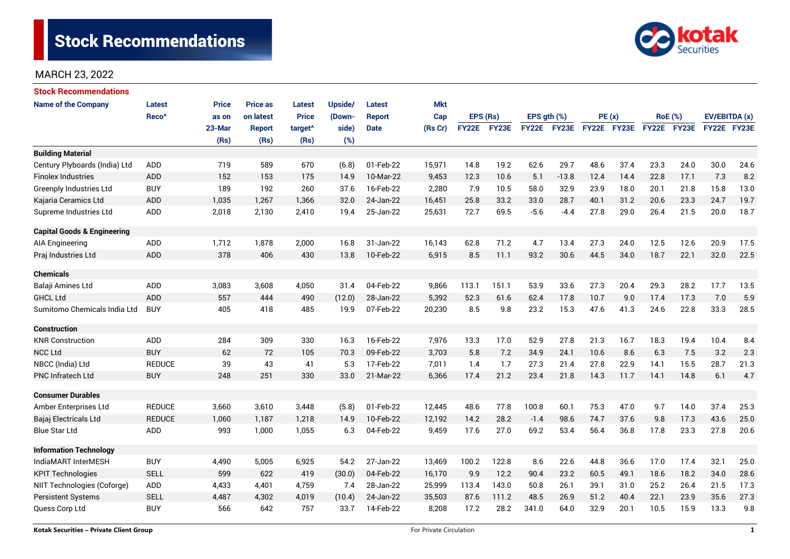

| <b>Stock Recommendations</b>           |                   |              |                 |                     |         |               |            |              |       |                  |             |             |      |                |      |               |      |
|----------------------------------------|-------------------|--------------|-----------------|---------------------|---------|---------------|------------|--------------|-------|------------------|-------------|-------------|------|----------------|------|---------------|------|
| <b>Name of the Company</b>             | <b>Latest</b>     | <b>Price</b> | <b>Price as</b> | Latest              | Upside/ | <b>Latest</b> | <b>Mkt</b> |              |       |                  |             |             |      |                |      |               |      |
|                                        | Reco <sup>^</sup> | as on        | on latest       | <b>Price</b>        | (Down-  | Report        | Cap        | EPS (Rs)     |       | EPS $qth$ $(\%)$ |             | PE(x)       |      | <b>RoE</b> (%) |      | EV/EBITDA (x) |      |
|                                        |                   | 23-Mar       | <b>Report</b>   | target <sup>^</sup> | side)   | <b>Date</b>   | (Rs Cr)    | <b>FY22E</b> | FY23E |                  | FY22E FY23E | FY22E FY23E |      | FY22E FY23E    |      | FY22E FY23E   |      |
|                                        |                   | (Rs)         | (Rs)            | (Rs)                | (%)     |               |            |              |       |                  |             |             |      |                |      |               |      |
| <b>Building Material</b>               |                   |              |                 |                     |         |               |            |              |       |                  |             |             |      |                |      |               |      |
| Century Plyboards (India) Ltd          | <b>ADD</b>        | 719          | 589             | 670                 | (6.8)   | 01-Feb-22     | 15,971     | 14.8         | 19.2  | 62.6             | 29.7        | 48.6        | 37.4 | 23.3           | 24.0 | 30.0          | 24.6 |
| <b>Finolex Industries</b>              | <b>ADD</b>        | 152          | 153             | 175                 | 14.9    | 10-Mar-22     | 9,453      | 12.3         | 10.6  | 5.1              | $-13.8$     | 12.4        | 14.4 | 22.8           | 17.1 | 7.3           | 8.2  |
| <b>Greenply Industries Ltd</b>         | <b>BUY</b>        | 189          | 192             | 260                 | 37.6    | 16-Feb-22     | 2,280      | 7.9          | 10.5  | 58.0             | 32.9        | 23.9        | 18.0 | 20.1           | 21.8 | 15.8          | 13.0 |
| Kajaria Ceramics Ltd                   | <b>ADD</b>        | 1,035        | 1.267           | 1,366               | 32.0    | 24-Jan-22     | 16,451     | 25.8         | 33.2  | 33.0             | 28.7        | 40.1        | 31.2 | 20.6           | 23.3 | 24.7          | 19.7 |
| Supreme Industries Ltd                 | ADD               | 2,018        | 2,130           | 2,410               | 19.4    | 25-Jan-22     | 25,631     | 72.7         | 69.5  | $-5.6$           | $-4.4$      | 27.8        | 29.0 | 26.4           | 21.5 | 20.0          | 18.7 |
| <b>Capital Goods &amp; Engineering</b> |                   |              |                 |                     |         |               |            |              |       |                  |             |             |      |                |      |               |      |
| <b>AIA Engineering</b>                 | <b>ADD</b>        | 1,712        | 1,878           | 2,000               | 16.8    | 31-Jan-22     | 16,143     | 62.8         | 71.2  | 4.7              | 13.4        | 27.3        | 24.0 | 12.5           | 12.6 | 20.9          | 17.5 |
| Praj Industries Ltd                    | <b>ADD</b>        | 378          | 406             | 430                 | 13.8    | 10-Feb-22     | 6,915      | 8.5          | 11.1  | 93.2             | 30.6        | 44.5        | 34.0 | 18.7           | 22.1 | 32.0          | 22.5 |
| <b>Chemicals</b>                       |                   |              |                 |                     |         |               |            |              |       |                  |             |             |      |                |      |               |      |
| Balaji Amines Ltd                      | <b>ADD</b>        | 3,083        | 3,608           | 4,050               | 31.4    | 04-Feb-22     | 9,866      | 113.1        | 151.1 | 53.9             | 33.6        | 27.3        | 20.4 | 29.3           | 28.2 | 17.7          | 13.5 |
| <b>GHCL Ltd</b>                        | <b>ADD</b>        | 557          | 444             | 490                 | (12.0)  | 28-Jan-22     | 5,392      | 52.3         | 61.6  | 62.4             | 17.8        | 10.7        | 9.0  | 17.4           | 17.3 | 7.0           | 5.9  |
| Sumitomo Chemicals India Ltd           | <b>BUY</b>        | 405          | 418             | 485                 | 19.9    | 07-Feb-22     | 20,230     | 8.5          | 9.8   | 23.2             | 15.3        | 47.6        | 41.3 | 24.6           | 22.8 | 33.3          | 28.5 |
| <b>Construction</b>                    |                   |              |                 |                     |         |               |            |              |       |                  |             |             |      |                |      |               |      |
| <b>KNR Construction</b>                | <b>ADD</b>        | 284          | 309             | 330                 | 16.3    | 16-Feb-22     | 7,976      | 13.3         | 17.0  | 52.9             | 27.8        | 21.3        | 16.7 | 18.3           | 19.4 | 10.4          | 8.4  |
| <b>NCC Ltd</b>                         | <b>BUY</b>        | 62           | 72              | 105                 | 70.3    | 09-Feb-22     | 3,703      | 5.8          | 7.2   | 34.9             | 24.1        | 10.6        | 8.6  | 6.3            | 7.5  | 3.2           | 2.3  |
| NBCC (India) Ltd                       | <b>REDUCE</b>     | 39           | 43              | 41                  | 5.3     | 17-Feb-22     | 7,011      | 1.4          | 1.7   | 27.3             | 21.4        | 27.8        | 22.9 | 14.1           | 15.5 | 28.7          | 21.3 |
| <b>PNC Infratech Ltd</b>               | <b>BUY</b>        | 248          | 251             | 330                 | 33.0    | 21-Mar-22     | 6,366      | 17.4         | 21.2  | 23.4             | 21.8        | 14.3        | 11.7 | 14.1           | 14.8 | 6.1           | 4.7  |
| <b>Consumer Durables</b>               |                   |              |                 |                     |         |               |            |              |       |                  |             |             |      |                |      |               |      |
| Amber Enterprises Ltd                  | <b>REDUCE</b>     | 3,660        | 3,610           | 3,448               | (5.8)   | 01-Feb-22     | 12,445     | 48.6         | 77.8  | 100.8            | 60.1        | 75.3        | 47.0 | 9.7            | 14.0 | 37.4          | 25.3 |
| Bajaj Electricals Ltd                  | <b>REDUCE</b>     | 1,060        | 1,187           | 1,218               | 14.9    | 10-Feb-22     | 12,192     | 14.2         | 28.2  | $-1.4$           | 98.6        | 74.7        | 37.6 | 9.8            | 17.3 | 43.6          | 25.0 |
| <b>Blue Star Ltd</b>                   | ADD               | 993          | 1,000           | 1,055               | 6.3     | 04-Feb-22     | 9,459      | 17.6         | 27.0  | 69.2             | 53.4        | 56.4        | 36.8 | 17.8           | 23.3 | 27.8          | 20.6 |
| <b>Information Technology</b>          |                   |              |                 |                     |         |               |            |              |       |                  |             |             |      |                |      |               |      |
| IndiaMART InterMESH                    | <b>BUY</b>        | 4,490        | 5,005           | 6,925               | 54.2    | 27-Jan-22     | 13,469     | 100.2        | 122.8 | 8.6              | 22.6        | 44.8        | 36.6 | 17.0           | 17.4 | 32.1          | 25.0 |
| <b>KPIT Technologies</b>               | <b>SELL</b>       | 599          | 622             | 419                 | (30.0)  | 04-Feb-22     | 16,170     | 9.9          | 12.2  | 90.4             | 23.2        | 60.5        | 49.1 | 18.6           | 18.2 | 34.0          | 28.6 |
| NIIT Technologies (Coforge)            | ADD               | 4,433        | 4,401           | 4,759               | 7.4     | 28-Jan-22     | 25,999     | 113.4        | 143.0 | 50.8             | 26.1        | 39.1        | 31.0 | 25.2           | 26.4 | 21.5          | 17.3 |
| <b>Persistent Systems</b>              | <b>SELL</b>       | 4,487        | 4,302           | 4,019               | (10.4)  | 24-Jan-22     | 35,503     | 87.6         | 111.2 | 48.5             | 26.9        | 51.2        | 40.4 | 22.1           | 23.9 | 35.6          | 27.3 |
| Quess Corp Ltd                         | <b>BUY</b>        | 566          | 642             | 757                 | 33.7    | 14-Feb-22     | 8,208      | 17.2         | 28.2  | 341.0            | 64.0        | 32.9        | 20.1 | 10.5           | 15.9 | 13.3          | 9.8  |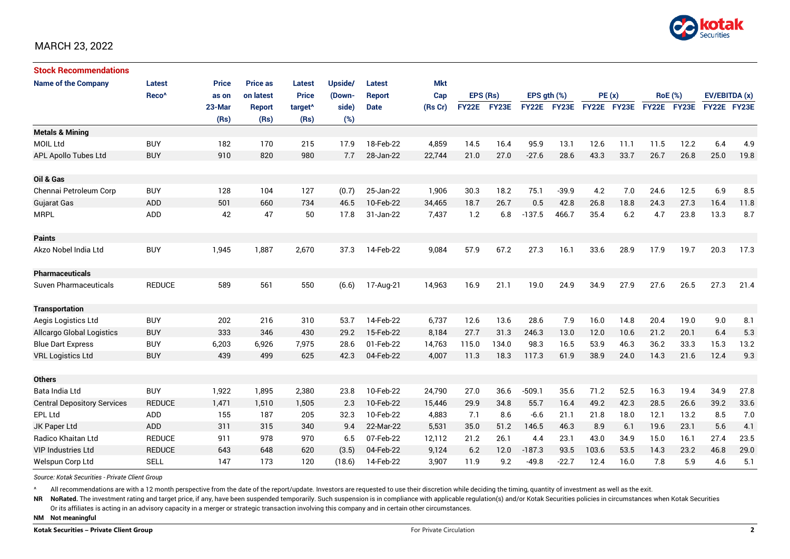

| <b>Stock Recommendations</b>       |                   |              |                 |                     |         |               |            |              |       |                  |              |             |      |                |      |               |      |
|------------------------------------|-------------------|--------------|-----------------|---------------------|---------|---------------|------------|--------------|-------|------------------|--------------|-------------|------|----------------|------|---------------|------|
| <b>Name of the Company</b>         | Latest            | <b>Price</b> | <b>Price as</b> | <b>Latest</b>       | Upside/ | <b>Latest</b> | <b>Mkt</b> | EPS (Rs)     |       |                  |              |             |      |                |      |               |      |
|                                    | Reco <sup>^</sup> | as on        | on latest       | <b>Price</b>        | (Down-  | <b>Report</b> | Cap        |              |       | EPS $qth$ $(\%)$ |              | PE(x)       |      | <b>RoE</b> (%) |      | EV/EBITDA (x) |      |
|                                    |                   | 23-Mar       | Report          | target <sup>^</sup> | side)   | <b>Date</b>   | (Rs Cr)    | <b>FY22E</b> | FY23E | <b>FY22E</b>     | <b>FY23E</b> | FY22E FY23E |      | FY22E FY23E    |      | FY22E FY23E   |      |
|                                    |                   | (Rs)         | (Rs)            | (Rs)                | (%)     |               |            |              |       |                  |              |             |      |                |      |               |      |
| <b>Metals &amp; Mining</b>         |                   |              |                 |                     |         |               |            |              |       |                  |              |             |      |                |      |               |      |
| <b>MOIL Ltd</b>                    | <b>BUY</b>        | 182          | 170             | 215                 | 17.9    | 18-Feb-22     | 4,859      | 14.5         | 16.4  | 95.9             | 13.1         | 12.6        | 11.1 | 11.5           | 12.2 | 6.4           | 4.9  |
| <b>APL Apollo Tubes Ltd</b>        | <b>BUY</b>        | 910          | 820             | 980                 | 7.7     | 28-Jan-22     | 22,744     | 21.0         | 27.0  | $-27.6$          | 28.6         | 43.3        | 33.7 | 26.7           | 26.8 | 25.0          | 19.8 |
|                                    |                   |              |                 |                     |         |               |            |              |       |                  |              |             |      |                |      |               |      |
| Oil & Gas                          |                   |              |                 |                     |         |               |            |              |       |                  |              |             |      |                |      |               |      |
| Chennai Petroleum Corp             | <b>BUY</b>        | 128          | 104             | 127                 | (0.7)   | 25-Jan-22     | 1,906      | 30.3         | 18.2  | 75.1             | $-39.9$      | 4.2         | 7.0  | 24.6           | 12.5 | 6.9           | 8.5  |
| <b>Gujarat Gas</b>                 | <b>ADD</b>        | 501          | 660             | 734                 | 46.5    | 10-Feb-22     | 34,465     | 18.7         | 26.7  | 0.5              | 42.8         | 26.8        | 18.8 | 24.3           | 27.3 | 16.4          | 11.8 |
| <b>MRPL</b>                        | ADD               | 42           | 47              | 50                  | 17.8    | 31-Jan-22     | 7,437      | 1.2          | 6.8   | $-137.5$         | 466.7        | 35.4        | 6.2  | 4.7            | 23.8 | 13.3          | 8.7  |
|                                    |                   |              |                 |                     |         |               |            |              |       |                  |              |             |      |                |      |               |      |
| <b>Paints</b>                      |                   |              |                 |                     |         |               |            |              |       |                  |              |             |      |                |      |               |      |
| Akzo Nobel India Ltd               | <b>BUY</b>        | 1,945        | 1,887           | 2,670               | 37.3    | 14-Feb-22     | 9,084      | 57.9         | 67.2  | 27.3             | 16.1         | 33.6        | 28.9 | 17.9           | 19.7 | 20.3          | 17.3 |
|                                    |                   |              |                 |                     |         |               |            |              |       |                  |              |             |      |                |      |               |      |
| <b>Pharmaceuticals</b>             |                   |              |                 |                     |         |               |            |              |       |                  |              |             |      |                |      |               |      |
| <b>Suven Pharmaceuticals</b>       | <b>REDUCE</b>     | 589          | 561             | 550                 | (6.6)   | 17-Aug-21     | 14,963     | 16.9         | 21.1  | 19.0             | 24.9         | 34.9        | 27.9 | 27.6           | 26.5 | 27.3          | 21.4 |
|                                    |                   |              |                 |                     |         |               |            |              |       |                  |              |             |      |                |      |               |      |
| <b>Transportation</b>              |                   |              |                 |                     |         |               |            |              |       |                  |              |             |      |                |      |               |      |
| Aegis Logistics Ltd                | <b>BUY</b>        | 202          | 216             | 310                 | 53.7    | 14-Feb-22     | 6,737      | 12.6         | 13.6  | 28.6             | 7.9          | 16.0        | 14.8 | 20.4           | 19.0 | 9.0           | 8.1  |
| Allcargo Global Logistics          | <b>BUY</b>        | 333          | 346             | 430                 | 29.2    | 15-Feb-22     | 8,184      | 27.7         | 31.3  | 246.3            | 13.0         | 12.0        | 10.6 | 21.2           | 20.1 | 6.4           | 5.3  |
| <b>Blue Dart Express</b>           | <b>BUY</b>        | 6,203        | 6,926           | 7,975               | 28.6    | 01-Feb-22     | 14,763     | 115.0        | 134.0 | 98.3             | 16.5         | 53.9        | 46.3 | 36.2           | 33.3 | 15.3          | 13.2 |
| <b>VRL Logistics Ltd</b>           | <b>BUY</b>        | 439          | 499             | 625                 | 42.3    | 04-Feb-22     | 4,007      | 11.3         | 18.3  | 117.3            | 61.9         | 38.9        | 24.0 | 14.3           | 21.6 | 12.4          | 9.3  |
|                                    |                   |              |                 |                     |         |               |            |              |       |                  |              |             |      |                |      |               |      |
| <b>Others</b>                      |                   |              |                 |                     |         |               |            |              |       |                  |              |             |      |                |      |               |      |
| Bata India Ltd                     | <b>BUY</b>        | 1,922        | 1,895           | 2,380               | 23.8    | 10-Feb-22     | 24,790     | 27.0         | 36.6  | $-509.1$         | 35.6         | 71.2        | 52.5 | 16.3           | 19.4 | 34.9          | 27.8 |
| <b>Central Depository Services</b> | <b>REDUCE</b>     | 1,471        | 1,510           | 1,505               | 2.3     | 10-Feb-22     | 15,446     | 29.9         | 34.8  | 55.7             | 16.4         | 49.2        | 42.3 | 28.5           | 26.6 | 39.2          | 33.6 |
| <b>EPL Ltd</b>                     | <b>ADD</b>        | 155          | 187             | 205                 | 32.3    | 10-Feb-22     | 4,883      | 7.1          | 8.6   | $-6.6$           | 21.1         | 21.8        | 18.0 | 12.1           | 13.2 | 8.5           | 7.0  |
| JK Paper Ltd                       | ADD               | 311          | 315             | 340                 | 9.4     | 22-Mar-22     | 5,531      | 35.0         | 51.2  | 146.5            | 46.3         | 8.9         | 6.1  | 19.6           | 23.1 | 5.6           | 4.1  |
| Radico Khaitan Ltd                 | <b>REDUCE</b>     | 911          | 978             | 970                 | 6.5     | 07-Feb-22     | 12,112     | 21.2         | 26.1  | 4.4              | 23.1         | 43.0        | 34.9 | 15.0           | 16.1 | 27.4          | 23.5 |
| <b>VIP Industries Ltd</b>          | <b>REDUCE</b>     | 643          | 648             | 620                 | (3.5)   | 04-Feb-22     | 9,124      | 6.2          | 12.0  | $-187.3$         | 93.5         | 103.6       | 53.5 | 14.3           | 23.2 | 46.8          | 29.0 |
| Welspun Corp Ltd                   | <b>SELL</b>       | 147          | 173             | 120                 | (18.6)  | 14-Feb-22     | 3,907      | 11.9         | 9.2   | $-49.8$          | $-22.7$      | 12.4        | 16.0 | 7.8            | 5.9  | 4.6           | 5.1  |

*Source: Kotak Securities - Private Client Group*

All recommendations are with a 12 month perspective from the date of the report/update. Investors are requested to use their discretion while deciding the timing, quantity of investment as well as the exit.

NR NoRated. The investment rating and target price, if any, have been suspended temporarily. Such suspension is in compliance with applicable regulation(s) and/or Kotak Securities policies in circumstances when Kotak Secur

Or its affiliates is acting in an advisory capacity in a merger or strategic transaction involving this company and in certain other circumstances.

**NM Not meaningful**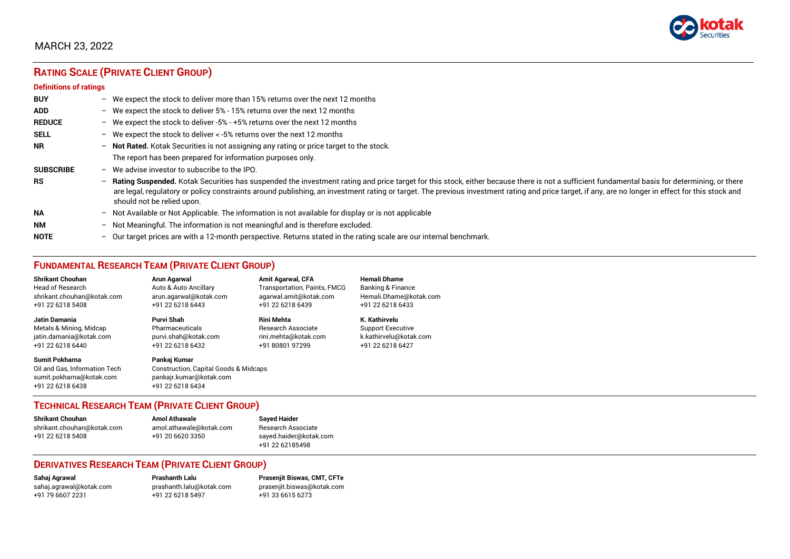

# **RATING SCALE (PRIVATE CLIENT GROUP)**

#### **Definitions of ratings**

| <b>BUY</b>       |   | - We expect the stock to deliver more than 15% returns over the next 12 months                                                                                                                                                                                                                                                                                                                                                     |
|------------------|---|------------------------------------------------------------------------------------------------------------------------------------------------------------------------------------------------------------------------------------------------------------------------------------------------------------------------------------------------------------------------------------------------------------------------------------|
| <b>ADD</b>       |   | - We expect the stock to deliver 5% - 15% returns over the next 12 months                                                                                                                                                                                                                                                                                                                                                          |
| <b>REDUCE</b>    |   | - We expect the stock to deliver -5% - +5% returns over the next 12 months                                                                                                                                                                                                                                                                                                                                                         |
| <b>SELL</b>      |   | - We expect the stock to deliver $\lt$ -5% returns over the next 12 months                                                                                                                                                                                                                                                                                                                                                         |
| <b>NR</b>        |   | - Not Rated. Kotak Securities is not assigning any rating or price target to the stock.                                                                                                                                                                                                                                                                                                                                            |
|                  |   | The report has been prepared for information purposes only.                                                                                                                                                                                                                                                                                                                                                                        |
| <b>SUBSCRIBE</b> |   | $-$ We advise investor to subscribe to the IPO.                                                                                                                                                                                                                                                                                                                                                                                    |
| <b>RS</b>        |   | - Rating Suspended. Kotak Securities has suspended the investment rating and price target for this stock, either because there is not a sufficient fundamental basis for determining, or there<br>are legal, regulatory or policy constraints around publishing, an investment rating or target. The previous investment rating and price target, if any, are no longer in effect for this stock and<br>should not be relied upon. |
| <b>NA</b>        |   | $-$ Not Available or Not Applicable. The information is not available for display or is not applicable                                                                                                                                                                                                                                                                                                                             |
| <b>NM</b>        |   | - Not Meaningful. The information is not meaningful and is therefore excluded.                                                                                                                                                                                                                                                                                                                                                     |
| <b>NOTE</b>      | - | Our target prices are with a 12-month perspective. Returns stated in the rating scale are our internal benchmark.                                                                                                                                                                                                                                                                                                                  |

# **FUNDAMENTAL RESEARCH TEAM (PRIVATE CLIENT GROUP)**

| <b>Shrikant Chouhan</b>                                                                                | <b>Arun Agarwal</b>                                                                                             | <b>Amit Agarwal, CFA</b>            | <b>Hemali Dhame</b>          |
|--------------------------------------------------------------------------------------------------------|-----------------------------------------------------------------------------------------------------------------|-------------------------------------|------------------------------|
| <b>Head of Research</b>                                                                                | Auto & Auto Ancillary                                                                                           | <b>Transportation, Paints, FMCG</b> | <b>Banking &amp; Finance</b> |
| shrikant.chouhan@kotak.com                                                                             | arun.agarwal@kotak.com                                                                                          | agarwal.amit@kotak.com              | Hemali.Dhame@kotak.com       |
| +91 22 6218 5408                                                                                       | +91 22 6218 6443                                                                                                | +91 22 6218 6439                    | +91 22 6218 6433             |
| Jatin Damania                                                                                          | Purvi Shah                                                                                                      | <b>Rini Mehta</b>                   | K. Kathirvelu                |
| Metals & Mining, Midcap                                                                                | Pharmaceuticals                                                                                                 | <b>Research Associate</b>           | <b>Support Executive</b>     |
| jatin.damania@kotak.com                                                                                | purvi.shah@kotak.com                                                                                            | rini.mehta@kotak.com                | k.kathirvelu@kotak.com       |
| +91 22 6218 6440                                                                                       | +91 22 6218 6432                                                                                                | +91 80801 97299                     | +91 22 6218 6427             |
| <b>Sumit Pokharna</b><br>Oil and Gas, Information Tech<br>sumit.pokharna@kotak.com<br>+91 22 6218 6438 | Pankaj Kumar<br><b>Construction, Capital Goods &amp; Midcaps</b><br>pankajr.kumar@kotak.com<br>+91 22 6218 6434 |                                     |                              |

#### **TECHNICAL RESEARCH TEAM (PRIVATE CLIENT GROUP)**

| <b>Shrikant Chouhan</b>    | <b>Amol Athawale</b>    |  |
|----------------------------|-------------------------|--|
| shrikant.chouhan@kotak.com | amol.athawale@kotak.com |  |
| +91 22 6218 5408           | +91 20 6620 3350        |  |
|                            |                         |  |

**Sayed Haider** Research Associate [sayed.haider@kotak.com](mailto:sayed.haider@kotak.com) +91 22 62185498

#### **DERIVATIVES RESEARCH TEAM (PRIVATE CLIENT GROUP)**

+91 22 6218 5497 +91 33 6615 6273

**Sahaj Agrawal Prashanth Lalu Prasenjit Biswas, CMT, CFTe** [sahaj.agrawal@kotak.com](mailto:sahaj.agrawal@kotak.com) [prashanth.lalu@kotak.com](mailto:prashanth.lalu@kotak.com) [prasenjit.biswas@kotak.com](mailto:prasenjit.biswas@kotak.com)